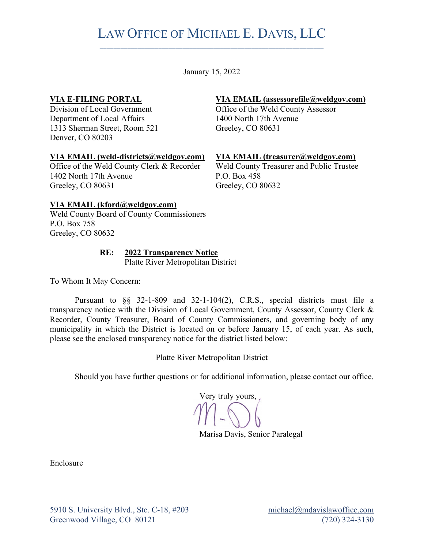# LAW OFFICE OF MICHAEL E. DAVIS, LLC \_\_\_\_\_\_\_\_\_\_\_\_\_\_\_\_\_\_\_\_\_\_\_\_\_\_\_\_\_\_\_\_\_\_\_\_\_\_\_\_\_\_\_\_\_\_\_\_\_\_\_\_\_\_\_\_\_\_\_\_\_\_\_\_\_

January 15, 2022

#### **VIA E-FILING PORTAL**

Division of Local Government Department of Local Affairs 1313 Sherman Street, Room 521 Denver, CO 80203

#### **VIA EMAIL (weld-districts@weldgov.com)**

Office of the Weld County Clerk & Recorder 1402 North 17th Avenue Greeley, CO 80631

### **VIA EMAIL (assessorefile@weldgov.com)**

Office of the Weld County Assessor 1400 North 17th Avenue Greeley, CO 80631

#### **VIA EMAIL (treasurer@weldgov.com)**

Weld County Treasurer and Public Trustee P.O. Box 458 Greeley, CO 80632

#### **VIA EMAIL (kford@weldgov.com)**

Weld County Board of County Commissioners P.O. Box 758 Greeley, CO 80632

## **RE: 2022 Transparency Notice**

Platte River Metropolitan District

To Whom It May Concern:

Pursuant to §§ 32-1-809 and 32-1-104(2), C.R.S., special districts must file a transparency notice with the Division of Local Government, County Assessor, County Clerk & Recorder, County Treasurer, Board of County Commissioners, and governing body of any municipality in which the District is located on or before January 15, of each year. As such, please see the enclosed transparency notice for the district listed below:

Platte River Metropolitan District

Should you have further questions or for additional information, please contact our office.

Very truly yours,

Marisa Davis, Senior Paralegal

Enclosure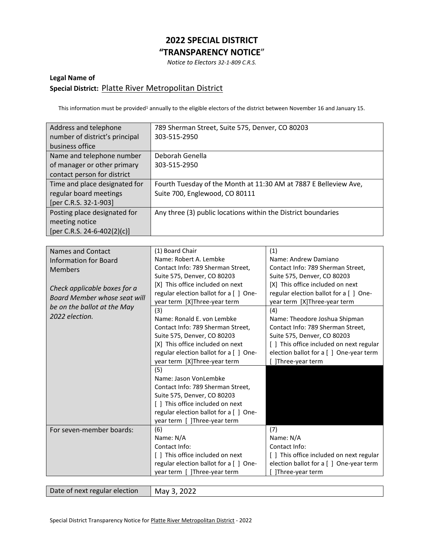## **2022 SPECIAL DISTRICT "TRANSPARENCY NOTICE**"

*Notice to Electors 32-1-809 C.R.S.*

### **Legal Name of Special District:** Platte River Metropolitan District

This information must be provided<sup>1</sup> annually to the eligible electors of the district between November 16 and January 15.

| Address and telephone          | 789 Sherman Street, Suite 575, Denver, CO 80203                  |
|--------------------------------|------------------------------------------------------------------|
| number of district's principal | 303-515-2950                                                     |
| business office                |                                                                  |
| Name and telephone number      | Deborah Genella                                                  |
| of manager or other primary    | 303-515-2950                                                     |
| contact person for district    |                                                                  |
| Time and place designated for  | Fourth Tuesday of the Month at 11:30 AM at 7887 E Belleview Ave, |
| regular board meetings         | Suite 700, Englewood, CO 80111                                   |
| [per C.R.S. 32-1-903]          |                                                                  |
| Posting place designated for   | Any three (3) public locations within the District boundaries    |
| meeting notice                 |                                                                  |
| [per C.R.S. 24-6-402(2)(c)]    |                                                                  |

| <b>Names and Contact</b>     | (1) Board Chair                        | (1)                                      |
|------------------------------|----------------------------------------|------------------------------------------|
| <b>Information for Board</b> | Name: Robert A. Lembke                 | Name: Andrew Damiano                     |
| <b>Members</b>               | Contact Info: 789 Sherman Street,      | Contact Info: 789 Sherman Street,        |
|                              | Suite 575, Denver, CO 80203            | Suite 575, Denver, CO 80203              |
|                              | [X] This office included on next       | [X] This office included on next         |
| Check applicable boxes for a | regular election ballot for a [ ] One- | regular election ballot for a [ ] One-   |
| Board Member whose seat will | year term [X]Three-year term           | year term [X]Three-year term             |
| be on the ballot at the May  | (3)                                    | (4)                                      |
| 2022 election.               | Name: Ronald E. von Lembke             | Name: Theodore Joshua Shipman            |
|                              | Contact Info: 789 Sherman Street,      | Contact Info: 789 Sherman Street,        |
|                              | Suite 575, Denver, CO 80203            | Suite 575, Denver, CO 80203              |
|                              | [X] This office included on next       | [ ] This office included on next regular |
|                              | regular election ballot for a [ ] One- | election ballot for a [ ] One-year term  |
|                              | year term [X]Three-year term           | ]Three-year term                         |
|                              | (5)                                    |                                          |
|                              | Name: Jason VonLembke                  |                                          |
|                              | Contact Info: 789 Sherman Street,      |                                          |
|                              | Suite 575, Denver, CO 80203            |                                          |
|                              | [ ] This office included on next       |                                          |
|                              | regular election ballot for a [ ] One- |                                          |
|                              | year term [ ]Three-year term           |                                          |
| For seven-member boards:     | (6)                                    | (7)                                      |
|                              | Name: N/A                              | Name: N/A                                |
|                              | Contact Info:                          | Contact Info:                            |
|                              | [ ] This office included on next       | [ ] This office included on next regular |
|                              | regular election ballot for a [ ] One- | election ballot for a [ ] One-year term  |
|                              | year term [ ]Three-year term           | ]Three-year term                         |
|                              |                                        |                                          |

Date of next regular election  $\vert$  May 3, 2022